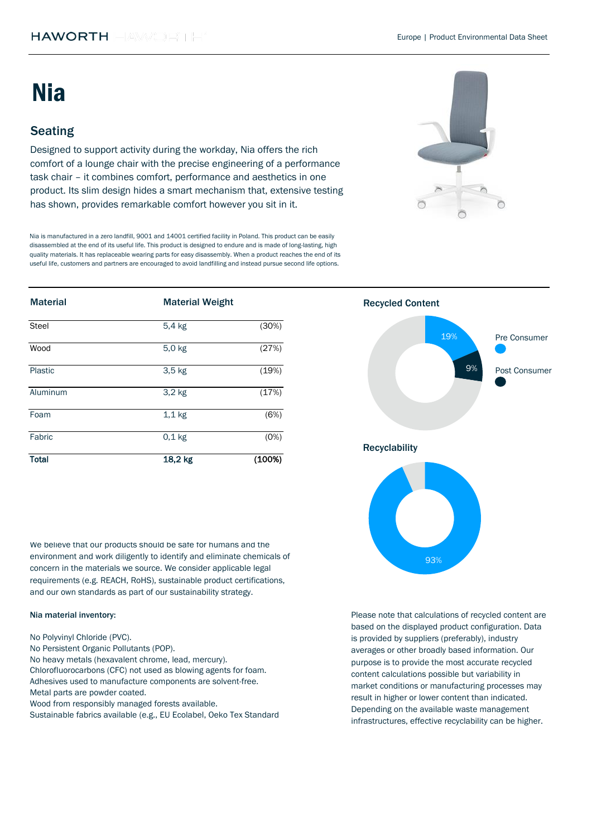| <b>Material</b> | <b>Material Weight</b> |        | <b>Recycled Content</b> |
|-----------------|------------------------|--------|-------------------------|
| <b>Steel</b>    | 5,4 kg                 | (30%)  | 19%                     |
| Wood            | 5,0 kg                 | (27%)  | Pre Consumer            |
| Plastic         | $3,5$ kg               | (19%)  | 9%<br>Post Consumer     |
| Aluminum        | $3,2$ kg               | (17%)  |                         |
| Foam            | $1,1$ kg               | (6%)   |                         |
| Fabric          | $0,1$ kg               | (0%)   | <b>Recyclability</b>    |
| <b>Total</b>    | 18,2 kg                | (100%) |                         |

We believe that our products should be safe for humans and the environment and work diligently to identify and eliminate chemicals of concern in the materials we source. We consider applicable legal requirements (e.g. REACH, RoHS), sustainable product certifications, and our own standards as part of our sustainability strategy.

Designed to support activity during the workday, Nia offers the rich comfort of a lounge chair with the precise engineering of a performance task chair – it combines comfort, performance and aesthetics in one product. Its slim design hides a smart mechanism that, extensive testing has shown, provides remarkable comfort however you sit in it.

# Seating

# Nia

# Nia material inventory:

Nia is manufactured in a zero landfill, 9001 and 14001 certified facility in Poland. This product can be easily disassembled at the end of its useful life. This product is designed to endure and is made of long-lasting, high quality materials. It has replaceable wearing parts for easy disassembly. When a product reaches the end of its useful life, customers and partners are encouraged to avoid landfilling and instead pursue second life options.



Adhesives used to manufacture components are solvent-free. Metal parts are powder coated. Wood from responsibly managed forests available. No Polyvinyl Chloride (PVC). No Persistent Organic Pollutants (POP). Sustainable fabrics available (e.g., EU Ecolabel, Oeko Tex Standard No heavy metals (hexavalent chrome, lead, mercury). Chlorofluorocarbons (CFC) not used as blowing agents for foam.

Please note that calculations of recycled content are based on the displayed product configuration. Data is provided by suppliers (preferably), industry averages or other broadly based information. Our purpose is to provide the most accurate recycled content calculations possible but variability in market conditions or manufacturing processes may result in higher or lower content than indicated. Depending on the available waste management infrastructures, effective recyclability can be higher.